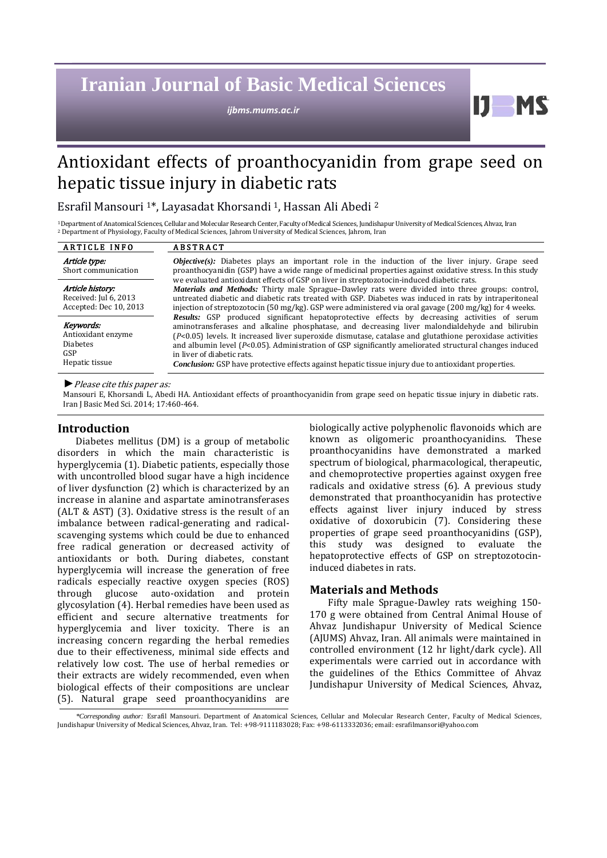# **Iranian Journal of Basic Medical Sciences**

*ijbms.mums.ac.ir*

# Antioxidant effects of proanthocyanidin from grape seed on hepatic tissue injury in diabetic rats

Esrafil Mansouri 1\*, Layasadat Khorsandi 1, Hassan Ali Abedi <sup>2</sup>

1Department of Anatomical Sciences, Cellular and Molecular Research Center, Faculty of Medical Sciences, Jundishapur University of Medical Sciences, Ahvaz, Iran <sup>2</sup> Department of Physiology, Faculty of Medical Sciences, Jahrom University of Medical Sciences, Jahrom, Iran

| <b>ARTICLE INFO</b>                                                         | <b>ABSTRACT</b>                                                                                                                                                                                                                                                                                                                                                                                                                                                                                                                                                                                                                                |  |
|-----------------------------------------------------------------------------|------------------------------------------------------------------------------------------------------------------------------------------------------------------------------------------------------------------------------------------------------------------------------------------------------------------------------------------------------------------------------------------------------------------------------------------------------------------------------------------------------------------------------------------------------------------------------------------------------------------------------------------------|--|
| Article type:<br>Short communication                                        | <b><i>Objective(s)</i></b> : Diabetes plays an important role in the induction of the liver injury. Grape seed<br>proanthocyanidin (GSP) have a wide range of medicinal properties against oxidative stress. In this study<br>we evaluated antioxidant effects of GSP on liver in streptozotocin-induced diabetic rats.<br>Materials and Methods: Thirty male Sprague-Dawley rats were divided into three groups: control,<br>untreated diabetic and diabetic rats treated with GSP. Diabetes was induced in rats by intraperitoneal<br>injection of streptozotocin (50 mg/kg). GSP were administered via oral gavage (200 mg/kg) for 4 weeks. |  |
| Article history:<br>Received: Jul 6, 2013<br>Accepted: Dec 10, 2013         |                                                                                                                                                                                                                                                                                                                                                                                                                                                                                                                                                                                                                                                |  |
| Keywords:<br>Antioxidant enzyme<br><b>Diabetes</b><br>GSP<br>Hepatic tissue | Results: GSP produced significant hepatoprotective effects by decreasing activities of serum<br>aminotransferases and alkaline phosphatase, and decreasing liver malondialdehyde and bilirubin<br>$[P<0.05]$ levels. It increased liver superoxide dismutase, catalase and glutathione peroxidase activities<br>and albumin level $(P<0.05)$ . Administration of GSP significantly ameliorated structural changes induced<br>in liver of diabetic rats.<br><i>Conclusion:</i> GSP have protective effects against hepatic tissue injury due to antioxidant properties.                                                                         |  |

*►*Please cite this paper as:

Mansouri E, Khorsandi L, Abedi HA. Antioxidant effects of proanthocyanidin from grape seed on hepatic tissue injury in diabetic rats. Iran J Basic Med Sci. 2014; 17:460-464.

# **Introduction**

Diabetes mellitus (DM) is a group of metabolic disorders in which the main characteristic is hyperglycemia (1). Diabetic patients, especially those with uncontrolled blood sugar have a high incidence of liver dysfunction (2) which is characterized by an increase in alanine and aspartate aminotransferases (ALT & AST) (3). Oxidative stress is the result of an imbalance between radical-generating and radicalscavenging systems which could be due to enhanced free radical generation or decreased activity of antioxidants or both. During diabetes, constant hyperglycemia will increase the generation of free radicals especially reactive oxygen species (ROS) through glucose auto-oxidation and protein glycosylation (4). Herbal remedies have been used as efficient and secure alternative treatments for hyperglycemia and liver toxicity. There is an increasing concern regarding the herbal remedies due to their effectiveness, minimal side effects and relatively low cost. The use of herbal remedies or their extracts are widely recommended, even when biological effects of their compositions are unclear (5). Natural grape seed proanthocyanidins are biologically active polyphenolic flavonoids which are known as oligomeric proanthocyanidins. These proanthocyanidins have demonstrated a marked spectrum of biological, pharmacological, therapeutic, and chemoprotective properties against oxygen free radicals and oxidative stress (6). A previous study demonstrated that proanthocyanidin has protective effects against liver injury induced by stress oxidative of doxorubicin (7). Considering these properties of grape seed proanthocyanidins (GSP), this study was designed to evaluate the hepatoprotective effects of GSP on streptozotocininduced diabetes in rats.

IJ.

# **Materials and Methods**

Fifty male Sprague-Dawley rats weighing 150- 170 g were obtained from Central Animal House of Ahvaz Jundishapur University of Medical Science (AJUMS) Ahvaz, Iran. All animals were maintained in controlled environment (12 hr light/dark cycle). All experimentals were carried out in accordance with the guidelines of the Ethics Committee of Ahvaz Jundishapur University of Medical Sciences, Ahvaz,

*\*Corresponding author:* Esrafil Mansouri. Department of Anatomical Sciences, Cellular and Molecular Research Center, Faculty of Medical Sciences, Jundishapur University of Medical Sciences, Ahvaz, Iran. Tel: +98-9111183028; Fax: +98-6113332036; email[: esrafilmansori@yahoo.com](mailto:esrafilmansori@yahoo.com)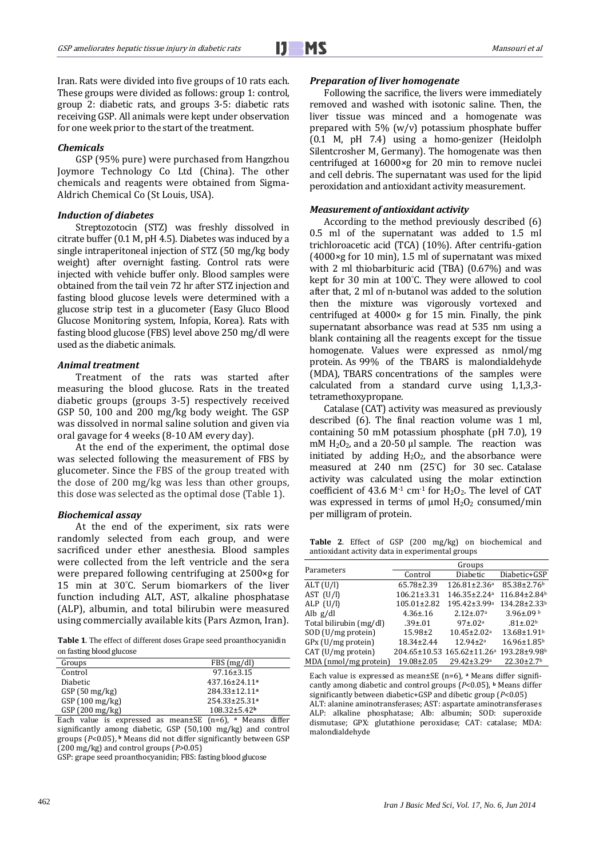Ī

Iran. Rats were divided into five groups of 10 rats each. These groups were divided as follows: group 1: control, group 2: diabetic rats, and groups 3-5: diabetic rats receiving GSP. All animals were kept under observation for one week prior to the start of the treatment.

#### *Chemicals*

GSP (95% pure) were purchased from Hangzhou Joymore Technology Co Ltd (China). The other chemicals and reagents were obtained from Sigma-Aldrich Chemical Co (St Louis, USA).

#### *Induction of diabetes*

Streptozotocin (STZ) was freshly dissolved in citrate buffer (0.1 M, pH 4.5). Diabetes was induced by a single intraperitoneal injection of STZ (50 mg/kg body weight) after overnight fasting. Control rats were injected with vehicle buffer only. Blood samples were obtained from the tail vein 72 hr after STZ injection and fasting blood glucose levels were determined with a glucose strip test in a glucometer (Easy Gluco Blood Glucose Monitoring system, Infopia, Korea). Rats with fasting blood glucose (FBS) level above 250 mg/dl were used as the diabetic animals.

#### *Animal treatment*

Treatment of the rats was started after measuring the blood glucose. Rats in the treated diabetic groups (groups 3-5) respectively received GSP 50, 100 and 200 mg/kg body weight. The GSP was dissolved in normal saline solution and given via oral gavage for 4 weeks (8-10 AM every day).

At the end of the experiment, the optimal dose was selected following the measurement of FBS by glucometer. Since the FBS of the group treated with the dose of 200 mg/kg was less than other groups, this dose was selected as the optimal dose (Table 1).

#### *Biochemical assay*

At the end of the experiment, six rats were randomly selected from each group, and were sacrificed under ether anesthesia. Blood samples were collected from the left ventricle and the sera were prepared following centrifuging at 2500×g for 15 min at 30° C. Serum biomarkers of the liver function including ALT, AST, alkaline phosphatase (ALP), albumin, and total bilirubin were measured using commercially available kits (Pars Azmon, Iran).

**Table 1**. The effect of different doses Grape seed proanthocyanidin on fasting blood glucose

| Groups          | FBS(mg/dl)                      |  |  |  |
|-----------------|---------------------------------|--|--|--|
| Control         | $97.16 \pm 3.15$                |  |  |  |
| <b>Diabetic</b> | $437.16 \pm 24.11$ <sup>a</sup> |  |  |  |
| GSP(50 mg/kg)   | $284.33 \pm 12.11$ a            |  |  |  |
| GSP(100 mg/kg)  | $254.33 \pm 25.31$ <sup>a</sup> |  |  |  |
| GSP(200 mg/kg)  | $108.32 \pm 5.42$               |  |  |  |
|                 |                                 |  |  |  |

Each value is expressed as mean±SE (n=6), **<sup>a</sup>** Means differ significantly among diabetic, GSP (50,100 mg/kg) and control groups (*P*<0.05), **<sup>b</sup>** Means did not differ significantly between GSP (200 mg/kg) and control groups (*P>*0.05)

GSP: grape seed proanthocyanidin; FBS: fasting blood glucose

#### *Preparation of liver homogenate*

Following the sacrifice, the livers were immediately removed and washed with isotonic saline. Then, the liver tissue was minced and a homogenate was prepared with 5% (w/v) potassium phosphate buffer (0.1 M, pH 7.4) using a homo-genizer (Heidolph Silentcrosher M, Germany). The homogenate was then centrifuged at 16000×g for 20 min to remove nuclei and cell debris. The supernatant was used for the lipid peroxidation and antioxidant activity measurement.

#### *Measurement of antioxidant activity*

According to the method previously described (6) 0.5 ml of the supernatant was added to 1.5 ml trichloroacetic acid (TCA) (10%). After centrifu-gation (4000×g for 10 min), 1.5 ml of supernatant was mixed with 2 ml thiobarbituric acid (TBA) (0.67%) and was kept for 30 min at 100° C. They were allowed to cool after that, 2 ml of n-butanol was added to the solution then the mixture was vigorously vortexed and centrifuged at  $4000 \times g$  for 15 min. Finally, the pink supernatant absorbance was read at 535 nm using a blank containing all the reagents except for the tissue homogenate. Values were expressed as nmol/mg protein. As 99% of the TBARS is malondialdehyde (MDA), TBARS concentrations of the samples were calculated from a standard curve using 1,1,3,3 tetramethoxypropane.

Catalase (CAT) activity was measured as previously described (6). The final reaction volume was 1 ml, containing 50 mM potassium phosphate (pH 7.0), 19 mM  $H_2O_2$ , and a 20-50 µl sample. The reaction was initiated by adding  $H_2O_2$ , and the absorbance were measured at 240 nm (25° C) for 30 sec. Catalase activity was calculated using the molar extinction coefficient of 43.6  $M<sup>-1</sup>$  cm<sup>-1</sup> for H<sub>2</sub>O<sub>2</sub>. The level of CAT was expressed in terms of  $\mu$ mol H<sub>2</sub>O<sub>2</sub> consumed/min per milligram of protein.

**Table 2**. Effect of GSP (200 mg/kg) on biochemical and antioxidant activity data in experimental groups

| Parameters              | Groups            |                                        |                              |  |
|-------------------------|-------------------|----------------------------------------|------------------------------|--|
|                         | Control           | Diabetic                               | Diabetic+GSP                 |  |
| ALT (U/l)               | 65.78±2.39        | 126.81±2.36ª                           | 85.38±2.76b                  |  |
| AST (U/l)               | $106.21 \pm 3.31$ | 146.35±2.24 <sup>a</sup>               | 116.84±2.84 <sup>b</sup>     |  |
| ALP (U/l)               | $105.01 \pm 2.82$ | 195.42±3.99 <sup>a</sup>               | 134.28±2.33 <sup>b</sup>     |  |
| Alb g/dl                | $4.36 \pm 0.16$   | $2.12 \pm 0.07$ <sup>a</sup>           | $3.96 \pm 0.09$ b            |  |
| Total bilirubin (mg/dl) | $.39 \pm .01$     | $97 \pm .02^a$                         | $.81 \pm .02b$               |  |
| SOD (U/mg protein)      | $15.98 \pm 2$     | $10.45 \pm 2.02$ <sup>a</sup>          | 13.68±1.91 <sup>b</sup>      |  |
| GPx (U/mg protein)      | $18.34 \pm 2.44$  | $12.94 \pm 2^a$                        | 16.96±1.85 <sup>b</sup>      |  |
| CAT (U/mg protein)      |                   | 204.65±10.53 165.62±11.26 <sup>a</sup> | 193.28±9.98b                 |  |
| MDA (nmol/mg protein)   | 19.08±2.05        | 29.42±3.29 <sup>a</sup>                | $22.30 \pm 2.7$ <sup>b</sup> |  |

Each value is expressed as mean±SE (n=6), **<sup>a</sup>** Means differ significantly among diabetic and control groups (*P*<0.05), **<sup>b</sup>** Means differ significantly between diabetic+GSP and dibetic group (*P*<0.05) ALT: alanine aminotransferases; AST: aspartate aminotransferases

ALP: alkaline phosphatase; Alb: albumin; SOD: superoxide dismutase; GPX: glutathione peroxidase; CAT: catalase; MDA: malondialdehyde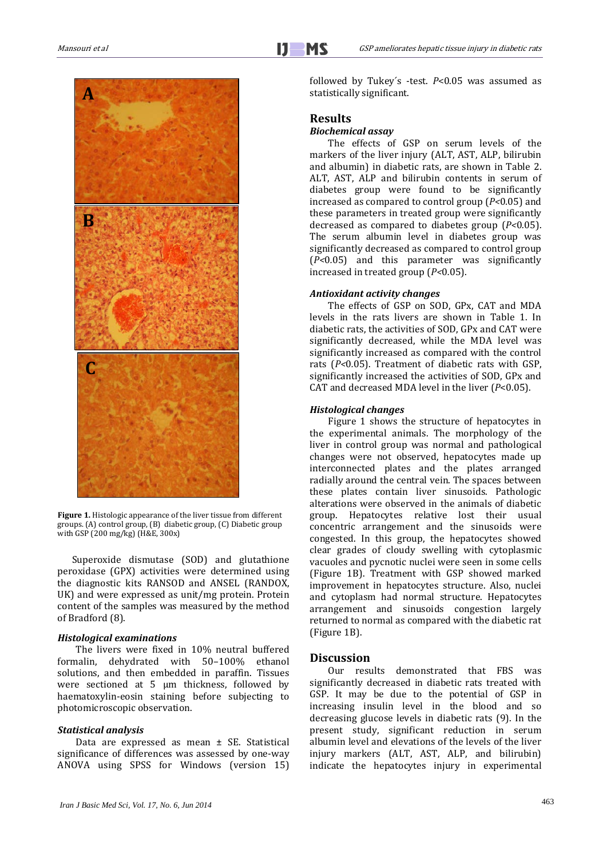

**Figure 1.** Histologic appearance of the liver tissue from different groups. (A) control group, (B) diabetic group, (C) Diabetic group with GSP (200 mg/kg) (H&E, 300x)

Superoxide dismutase (SOD) and glutathione peroxidase (GPX) activities were determined using the diagnostic kits RANSOD and ANSEL (RANDOX, UK) and were expressed as unit/mg protein. Protein content of the samples was measured by the method of Bradford (8).

#### *Histological examinations*

The livers were fixed in 10% neutral buffered formalin, dehydrated with 50–100% ethanol solutions, and then embedded in paraffin. Tissues were sectioned at 5 μm thickness, followed by haematoxylin-eosin staining before subjecting to photomicroscopic observation.

# *Statistical analysis*

Data are expressed as mean  $\pm$  SE. Statistical significance of differences was assessed by one-way ANOVA using SPSS for Windows (version 15) followed by Tukey´s -test. *P*<0.05 was assumed as statistically significant.

# **Results**

# *Biochemical assay*

The effects of GSP on serum levels of the markers of the liver injury (ALT, AST, ALP, bilirubin and albumin) in diabetic rats, are shown in Table 2. ALT, AST, ALP and bilirubin contents in serum of diabetes group were found to be significantly increased as compared to control group (*P<*0*.*05) and these parameters in treated group were significantly decreased as compared to diabetes group (*P<*0*.*05). The serum albumin level in diabetes group was significantly decreased as compared to control group (*P<*0*.*05) and this parameter was significantly increased in treated group (*P<*0*.*05).

## *Antioxidant activity changes*

The effects of GSP on SOD, GPx, CAT and MDA levels in the rats livers are shown in Table 1. In diabetic rats, the activities of SOD, GPx and CAT were significantly decreased, while the MDA level was significantly increased as compared with the control rats (*P<*0*.*05). Treatment of diabetic rats with GSP, significantly increased the activities of SOD, GPx and CAT and decreased MDA level in the liver (*P*<0.05).

## *Histological changes*

Figure 1 shows the structure of hepatocytes in the experimental animals. The morphology of the liver in control group was normal and pathological changes were not observed, hepatocytes made up interconnected plates and the plates arranged radially around the central vein. The spaces between these plates contain liver sinusoids. Pathologic alterations were observed in the animals of diabetic group. Hepatocytes relative lost their usual concentric arrangement and the sinusoids were congested. In this group, the hepatocytes showed clear grades of cloudy swelling with cytoplasmic vacuoles and pycnotic nuclei were seen in some cells (Figure 1B). Treatment with GSP showed marked improvement in hepatocytes structure. Also, nuclei and cytoplasm had normal structure. Hepatocytes arrangement and sinusoids congestion largely returned to normal as compared with the diabetic rat (Figure 1B).

# **Discussion**

Our results demonstrated that FBS was significantly decreased in diabetic rats treated with GSP. It may be due to the potential of GSP in increasing insulin level in the blood and so decreasing glucose levels in diabetic rats (9). In the present study, significant reduction in serum albumin level and elevations of the levels of the liver injury markers (ALT, AST, ALP, and bilirubin) indicate the hepatocytes injury in experimental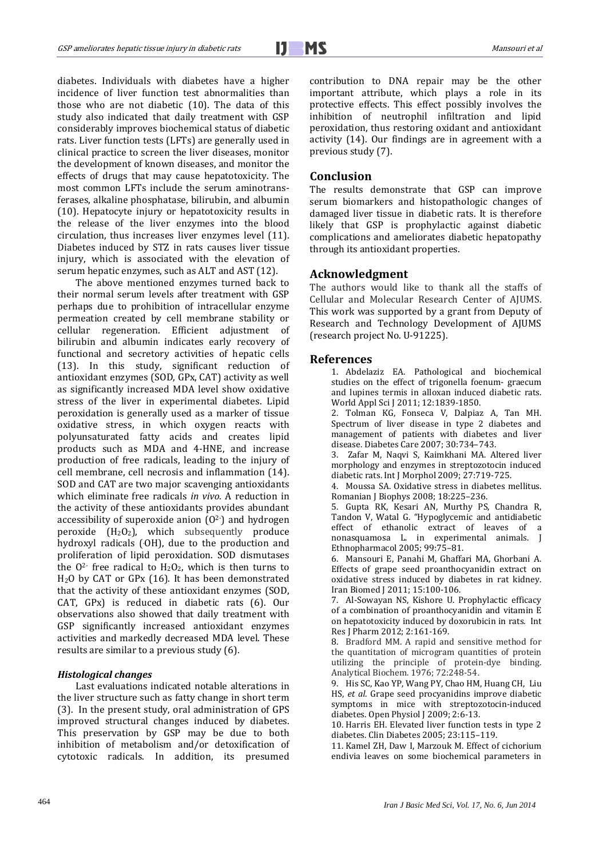Ī

diabetes. Individuals with diabetes have a higher incidence of liver function test abnormalities than those who are not diabetic (10). The data of this study also indicated that daily treatment with GSP considerably improves biochemical status of diabetic rats. Liver function tests (LFTs) are generally used in clinical practice to screen the liver diseases, monitor the development of known diseases, and monitor the effects of drugs that may cause hepatotoxicity. The most common LFTs include the serum aminotransferases, alkaline phosphatase, bilirubin, and albumin (10). Hepatocyte injury or hepatotoxicity results in the release of the liver enzymes into the blood circulation, thus increases liver enzymes level (11). Diabetes induced by STZ in rats causes liver tissue injury, which is associated with the elevation of serum hepatic enzymes, such as ALT and AST (12).

The above mentioned enzymes turned back to their normal serum levels after treatment with GSP perhaps due to prohibition of intracellular enzyme permeation created by cell membrane stability or cellular regeneration. Efficient adjustment of bilirubin and albumin indicates early recovery of functional and secretory activities of hepatic cells (13). In this study, significant reduction of antioxidant enzymes (SOD, GPx, CAT) activity as well as significantly increased MDA level show oxidative stress of the liver in experimental diabetes. Lipid peroxidation is generally used as a marker of tissue oxidative stress, in which oxygen reacts with polyunsaturated fatty acids and creates lipid products such as MDA and 4-HNE, and increase production of free radicals, leading to the injury of cell membrane, cell necrosis and inflammation (14). SOD and CAT are two major scavenging antioxidants which eliminate free radicals *in vivo*. A reduction in the activity of these antioxidants provides abundant accessibility of superoxide anion  $(0^2)$  and hydrogen peroxide  $(H_2O_2)$ , which subsequently produce hydroxyl radicals (OH), due to the production and proliferation of lipid peroxidation. SOD dismutases the  $0<sup>2</sup>$  free radical to  $H<sub>2</sub>O<sub>2</sub>$ , which is then turns to H2O by CAT or GPx (16). It has been demonstrated that the activity of these antioxidant enzymes (SOD, CAT, GPx) is reduced in diabetic rats (6). Our observations also showed that daily treatment with GSP significantly increased antioxidant enzymes activities and markedly decreased MDA level. These results are similar to a previous study (6).

### *Histological changes*

Last evaluations indicated notable alterations in the liver structure such as fatty change in short term (3). In the present study, oral administration of GPS improved structural changes induced by diabetes. This preservation by GSP may be due to both inhibition of metabolism and/or detoxification of cytotoxic radicals. In addition, its presumed contribution to DNA repair may be the other important attribute, which plays a role in its protective effects. This effect possibly involves the inhibition of neutrophil infiltration and lipid peroxidation, thus restoring oxidant and antioxidant activity (14). Our findings are in agreement with a previous study (7).

# **Conclusion**

The results demonstrate that GSP can improve serum biomarkers and histopathologic changes of damaged liver tissue in diabetic rats. It is therefore likely that GSP is prophylactic against diabetic complications and ameliorates diabetic hepatopathy through its antioxidant properties.

# **Acknowledgment**

The authors would like to thank all the staffs of Cellular and Molecular Research Center of AJUMS. This work was supported by a grant from Deputy of Research and Technology Development of AJUMS (research project No. U-91225).

#### **References**

1. Abdelaziz EA. Pathological and biochemical studies on the effect of trigonella foenum- graecum and lupines termis in alloxan induced diabetic rats. World Appl Sci J 2011; 12:1839-1850.

2. Tolman KG, Fonseca V, Dalpiaz A, Tan MH. Spectrum of liver disease in type 2 diabetes and management of patients with diabetes and liver disease. Diabetes Care 2007; 30:734–743.

3. Zafar M, Naqvi S, Kaimkhani MA. Altered liver morphology and enzymes in streptozotocin induced diabetic rats. Int J Morphol 2009; 27:719-725.

4. Moussa SA. Oxidative stress in diabetes mellitus. Romanian J Biophys 2008; 18:225–236.

5. Gupta RK, Kesari AN, Murthy PS, Chandra R, Tandon V, Watal G. "Hypoglycemic and antidiabetic effect of ethanolic extract of leaves of a nonasquamosa L. in experimental animals. J Ethnopharmacol 2005; 99:75–81.

6. Mansouri E, Panahi M, Ghaffari MA, Ghorbani A. Effects of grape seed proanthocyanidin extract on oxidative stress induced by diabetes in rat kidney. Iran Biomed J 2011; 15:100-106.

7. Al-Sowayan NS, Kishore U. Prophylactic efficacy of a combination of proanthocyanidin and vitamin E on hepatotoxicity induced by doxorubicin in rats. Int Res J Pharm 2012; 2:161-169.

8. Bradford MM. A rapid and sensitive method for the quantitation of microgram quantities of protein utilizing the principle of protein-dye binding. Analytical Biochem. 1976; 72:248-54.

9. His SC, Kao YP, Wang PY, Chao HM, Huang CH, Liu HS, *et al*. Grape seed procyanidins improve diabetic symptoms in mice with streptozotocin-induced diabetes. Open Physiol J 2009; 2:6-13.

10. Harris EH. Elevated liver function tests in type 2 diabetes. Clin Diabetes 2005; 23:115–119.

11. Kamel ZH, Daw I, Marzouk M. Effect of cichorium endivia leaves on some biochemical parameters in